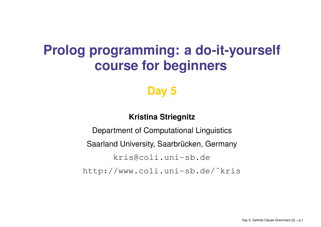# **Prolog programming: <sup>a</sup> do-it-yourself course for beginners**

## **Day 5**

### **Kristina Striegnitz**

Department of Computational Linguistics Saarland University, Saarbrücken, Germany <kris@coli.uni-sb.de> [http://www.coli.uni-sb.de/˜kris](http://www.coli.uni-sb.de/~kris)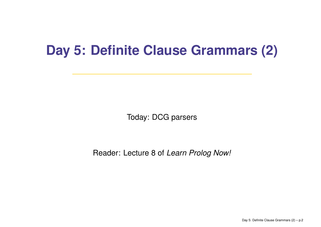# **Day 5: Definite Clause Grammars (2)**

Today: DCG parsers

Reader: Lecture 8 of *Learn Prolog Now!*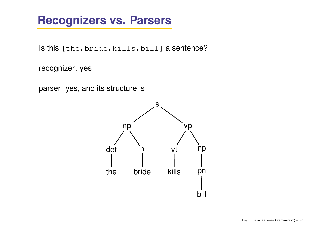## **Recognizers vs. Parsers**

 $\sf{ls}$  this [the, bride, kills, bill]  $\sf{a}$  sentence?

recognizer: yes

parser: yes, and its structure is

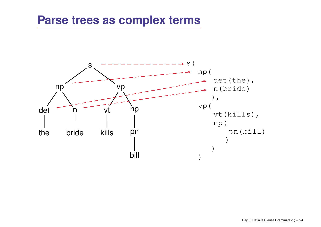### **Parse trees as complex terms**

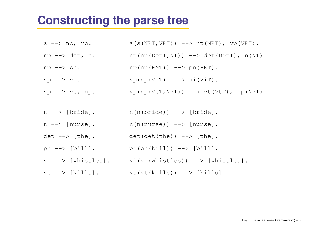### **Constructing the parse tree**

- $s \rightarrow np, vp.$  $S(S(NPT, VPT))$  --> np(NPT),  $VPT$ ).
- $np \rightarrow det, n.$   $np(np(DetT,NT)) \rightarrow -\rightarrow det(DetT), n(NT).$
- $np \rightarrow pn$ .  $np(np(PNT)) \rightarrow -\rightarrow pn(PNT)$ .
- vp  $\left(\forall p \in V \right)$ .
- vp  $\rightarrow$  vt, np. vp(vp(VtT,NPT))  $\rightarrow$  vt(VtT), np(NPT).
- n --> [bride].  $n(n(bride))$  --> [bride].
- $n \rightarrow$  [nurse].  $n(n(nurse))$  -->  $[nurse]$ .
- $det \leftarrow > [the]$ .  $det(det(the)) \rightarrow [the].$
- pn  $\left[-\right]$   $\left[\text{bill}\right]$ . pn(pn(bill))  $\left[-\right]$  [bill].
- vi --> [whistles]. vi(vi(whistles)) --> [whistles].
- vt --> [kills]. vt(vt(kills)) --> [kills].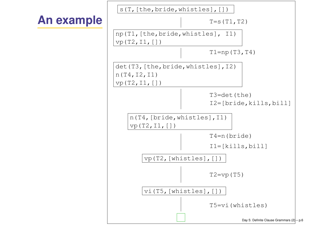